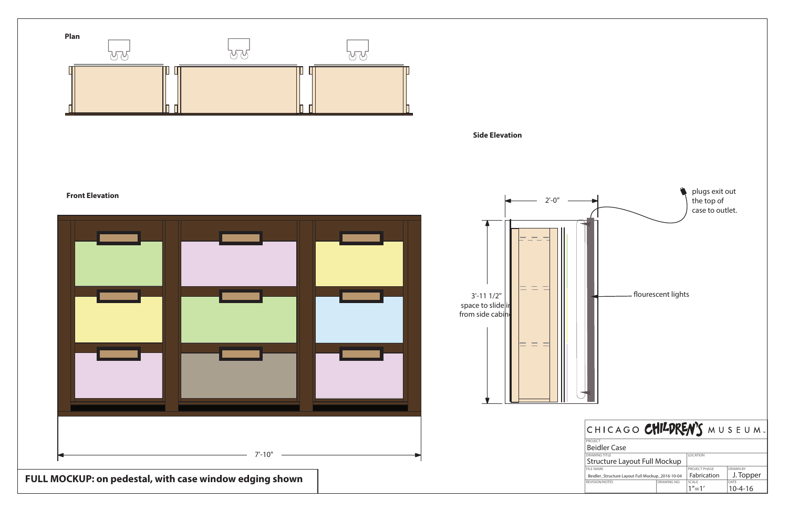

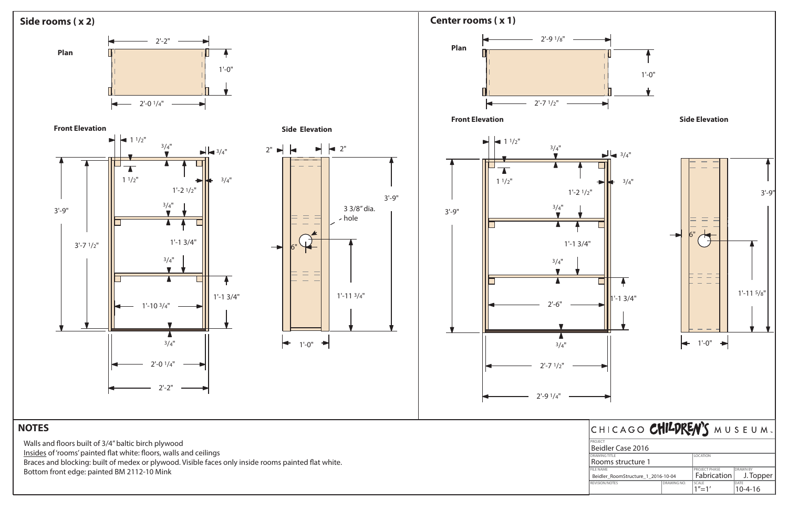| <b>FILE NAME</b>                   |             | <b>PROJECT PHASE</b> | <b>DRAWN BY</b> |
|------------------------------------|-------------|----------------------|-----------------|
| Beidler RoomStructure 1 2016-10-04 |             | Fabrication          | $J.$ Topper     |
| <b>REVISION/NOTES</b>              | DRAWING NO. | <b>SCALE</b>         | DATE            |
|                                    |             | $1''=1'$             | $10 - 4 - 16$   |



Bottom front edge: painted BM 2112-10 Mink

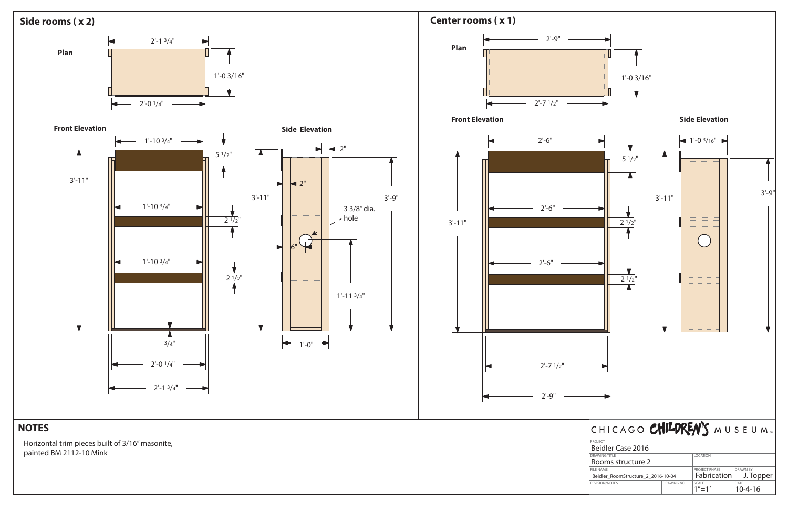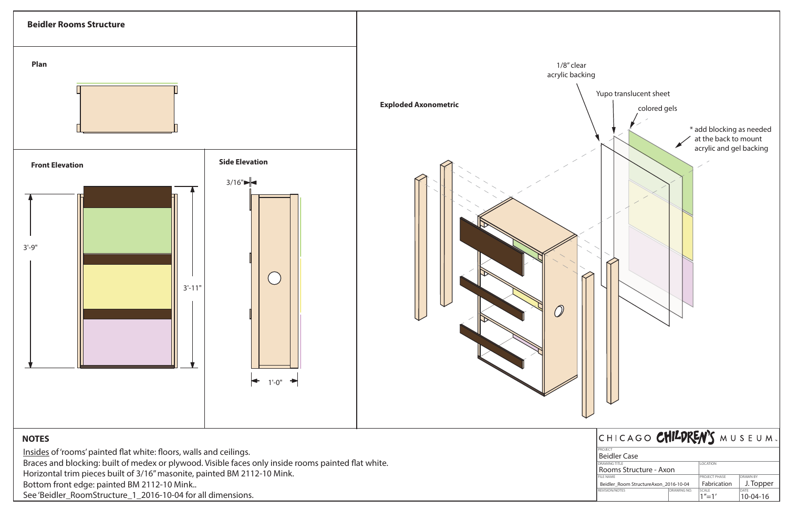

| <b>DRAWING TITLE</b>                   |  | <b>LOCATION</b>      |                 |                |
|----------------------------------------|--|----------------------|-----------------|----------------|
| Rooms Structure - Axon                 |  |                      |                 |                |
| <b>FILE NAME</b>                       |  | <b>PROJECT PHASE</b> | <b>DRAWN BY</b> |                |
| Beidler Room Structure Axon 2016-10-04 |  | Fabrication          | J. Topper       |                |
| REVISION/NOTES                         |  | DRAWING NO.          | SCALE           | DATE           |
|                                        |  |                      | $1'' - 1'$      | $10 - 04 - 16$ |

Braces and blocking: built of medex or plywood. Visible faces only inside rooms painted flat white. Horizontal trim pieces built of 3/16" masonite, painted BM 2112-10 Mink. Bottom front edge: painted BM 2112-10 Mink.. See 'Beidler\_RoomStructure\_1\_2016-10-04 for all dimensions.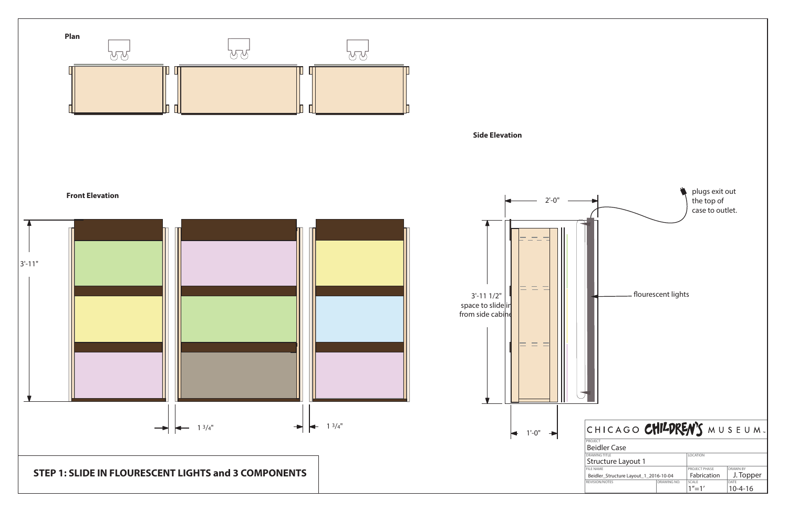![](_page_4_Figure_0.jpeg)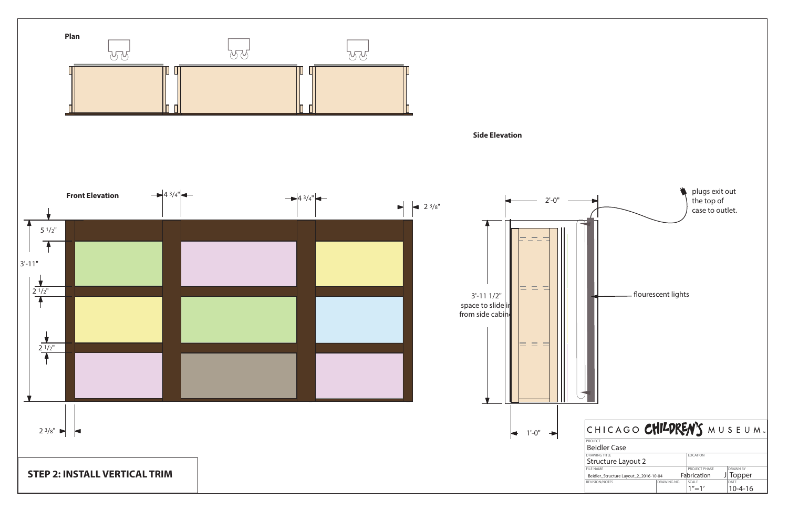![](_page_5_Figure_0.jpeg)